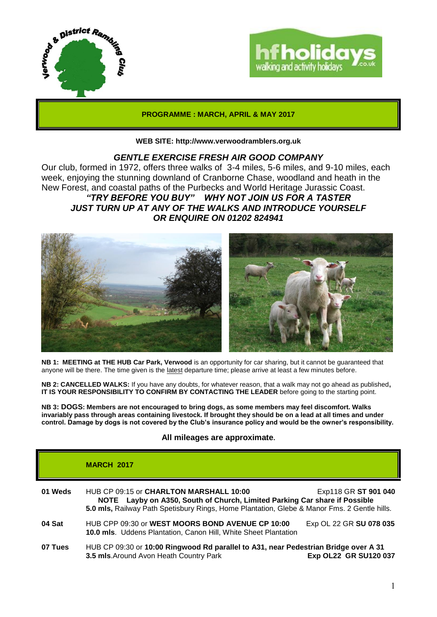



## **PROGRAMME : MARCH, APRIL & MAY 2017**

**WEB SITE: http://www.verwoodramblers.org.uk**

# *GENTLE EXERCISE FRESH AIR GOOD COMPANY*

Our club, formed in 1972, offers three walks of 3-4 miles, 5-6 miles, and 9-10 miles, each week, enjoying the stunning downland of Cranborne Chase, woodland and heath in the New Forest, and coastal paths of the Purbecks and World Heritage Jurassic Coast.

*"TRY BEFORE YOU BUY" WHY NOT JOIN US FOR A TASTER JUST TURN UP AT ANY OF THE WALKS AND INTRODUCE YOURSELF OR ENQUIRE ON 01202 824941*



**NB 1: MEETING at THE HUB Car Park, Verwood** is an opportunity for car sharing, but it cannot be guaranteed that anyone will be there. The time given is the latest departure time; please arrive at least a few minutes before.

**NB 2: CANCELLED WALKS:** If you have any doubts, for whatever reason, that a walk may not go ahead as published**, IT IS YOUR RESPONSIBILITY TO CONFIRM BY CONTACTING THE LEADER** before going to the starting point.

**NB 3: DOGS: Members are not encouraged to bring dogs, as some members may feel discomfort. Walks invariably pass through areas containing livestock. If brought they should be on a lead at all times and under control. Damage by dogs is not covered by the Club's insurance policy and would be the owner's responsibility.**

## **All mileages are approximate.**

# **MARCH 2017 01 Weds** HUB CP 09:15 or **CHARLTON MARSHALL 10:00** Exp118 GR **ST 901 040 NOTE Layby on A350, South of Church, Limited Parking Car share if Possible 5.0 mls,** Railway Path Spetisbury Rings, Home Plantation, Glebe & Manor Fms. 2 Gentle hills. **04 Sat HUB CPP 09:30 or WEST MOORS BOND AVENUE CP 10:00 Exp OL 22 GR SU 078 035 10.0 mls**. Uddens Plantation, Canon Hill, White Sheet Plantation **07 Tues** HUB CP 09:30 or **10:00 Ringwood Rd parallel to A31, near Pedestrian Bridge over A 31 3.5 mls**.Around Avon Heath Country Park **Exp OL22 GR SU120 037**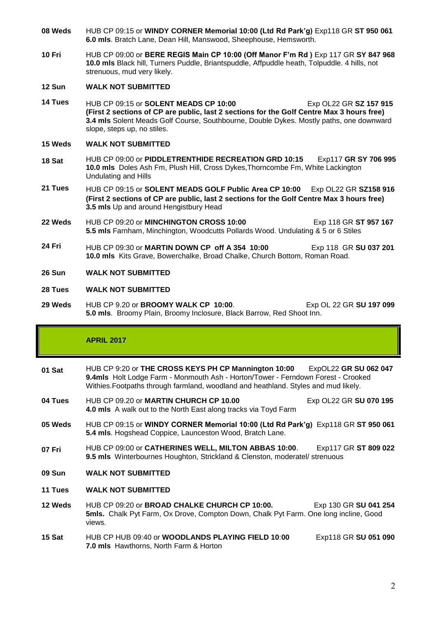- **08 Weds** HUB CP 09:15 or **WINDY CORNER Memorial 10:00 (Ltd Rd Park'g)** Exp118 GR **ST 950 061 6.0 mls**. Bratch Lane, Dean Hill, Manswood, Sheephouse, Hemsworth.
- **10 Fri** HUB CP 09:00 or **BERE REGIS Main CP 10:00 (Off Manor F'm Rd )** Exp 117 GR **SY 847 968 10.0 mls** Black hill, Turners Puddle, Briantspuddle, Affpuddle heath, Tolpuddle. 4 hills, not strenuous, mud very likely.

#### **12 Sun WALK NOT SUBMITTED**

**14 Tues** HUB CP 09:15 or **SOLENT MEADS CP 10:00** Exp OL22 GR **SZ 157 915 (First 2 sections of CP are public, last 2 sections for the Golf Centre Max 3 hours free) 3.4 mls** Solent Meads Golf Course, Southbourne, Double Dykes. Mostly paths, one downward slope, steps up, no stiles.

# **15 Weds WALK NOT SUBMITTED**

- **18 Sat** HUB CP 09:00 or **PIDDLETRENTHIDE RECREATION GRD 10:15** Exp117 **GR SY 706 995 10.0 mls** Doles Ash Fm, Plush Hill, Cross Dykes,Thorncombe Fm, White Lackington Undulating and Hills
- **21 Tues** HUB CP 09:15 or **SOLENT MEADS GOLF Public Area CP 10:00** Exp OL22 GR **SZ158 916 (First 2 sections of CP are public, last 2 sections for the Golf Centre Max 3 hours free) 3.5 mls** Up and around Hengistbury Head
- **22 Weds** HUB CP 09:20 or **MINCHINGTON CROSS 10:00** Exp 118 GR **ST 957 167 5.5 mls** Farnham, Minchington, Woodcutts Pollards Wood. Undulating & 5 or 6 Stiles
- **24 Fri** HUB CP 09:30 or **MARTIN DOWN CP off A 354 10:00** Exp 118 GR **SU 037 201 10.0 mls** Kits Grave, Bowerchalke, Broad Chalke, Church Bottom, Roman Road.
- **26 Sun WALK NOT SUBMITTED**

#### **28 Tues WALK NOT SUBMITTED**

**29 Weds** HUB CP 9.20 or **BROOMY WALK CP 10:00**. Exp OL 22 GR **SU 197 099 5.0 mls**. Broomy Plain, Broomy Inclosure, Black Barrow, Red Shoot Inn.

# **APRIL 2017**

- **01 Sat** HUB CP 9:20 or **THE CROSS KEYS PH CP Mannington 10:00** ExpOL22 **GR SU 062 047 9.4mls** Holt Lodge Farm - Monmouth Ash - Horton/Tower - Ferndown Forest - Crooked Withies.Footpaths through farmland, woodland and heathland. Styles and mud likely.
- **04 Tues** HUB CP 09.20 or **MARTIN CHURCH CP 10.00** Exp OL22 GR **SU 070 195 4.0 mls** A walk out to the North East along tracks via Toyd Farm
- **05 Weds** HUB CP 09:15 or **WINDY CORNER Memorial 10:00 (Ltd Rd Park'g)** Exp118 GR **ST 950 061 5.4 mls**. Hogshead Coppice, Launceston Wood, Bratch Lane.
- **07 Fri** HUB CP 09:00 or **CATHERINES WELL, MILTON ABBAS 10:00**. Exp117 GR **ST 809 022 9.5 mls** Winterbournes Houghton, Strickland & Clenston, moderatel/ strenuous
- **09 Sun WALK NOT SUBMITTED**
- **11 Tues WALK NOT SUBMITTED**
- **12 Weds** HUB CP 09:20 or **BROAD CHALKE CHURCH CP 10:00.** Exp 130 GR **SU 041 254 5mls.** Chalk Pyt Farm, Ox Drove, Compton Down, Chalk Pyt Farm. One long incline, Good views.
- **15 Sat** HUB CP HUB 09:40 or **WOODLANDS PLAYING FIELD 10**:**00** Exp118 GR **SU 051 090 7.0 mls** Hawthorns, North Farm & Horton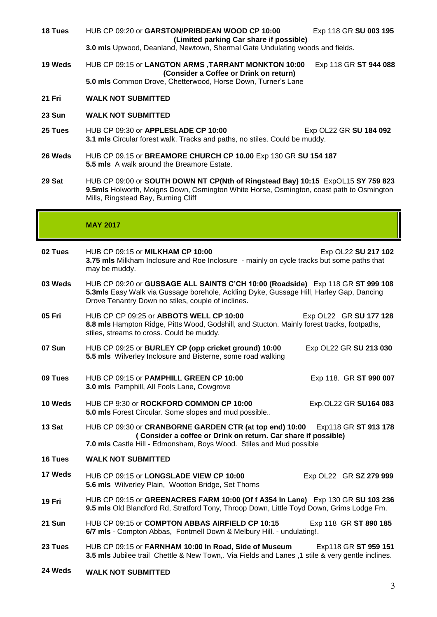**18 Tues** HUB CP 09:20 or **GARSTON/PRIBDEAN WOOD CP 10:00** Exp 118 GR **SU 003 195 (Limited parking Car share if possible)**

**3.0 mls** Upwood, Deanland, Newtown, Shermal Gate Undulating woods and fields.

- **19 Weds** HUB CP 09:15 or **LANGTON ARMS ,TARRANT MONKTON 10:00** Exp 118 GR **ST 944 088 (Consider a Coffee or Drink on return) 5.0 mls** Common Drove, Chetterwood, Horse Down, Turner's Lane
- **21 Fri WALK NOT SUBMITTED**
- **23 Sun WALK NOT SUBMITTED**
- **25 Tues** HUB CP 09:30 or **APPLESLADE CP 10:00** Exp OL22 GR **SU 184 092 3.1 mls** Circular forest walk. Tracks and paths, no stiles. Could be muddy.
- **26 Weds** HUB CP 09.15 or **BREAMORE CHURCH CP 10.00** Exp 130 GR **SU 154 187 5.5 mls** A walk around the Breamore Estate.
- **29 Sat** HUB CP 09:00 or **SOUTH DOWN NT CP(Nth of Ringstead Bay) 10:15** ExpOL15 **SY 759 823 9.5mls** Holworth, Moigns Down, Osmington White Horse, Osmington, coast path to Osmington Mills, Ringstead Bay, Burning Cliff

## **MAY 2017**

| 02 Tues | HUB CP 09:15 or <b>MILKHAM CP 10:00</b><br>3.75 mls Milkham Inclosure and Roe Inclosure - mainly on cycle tracks but some paths that<br>may be muddy.                                                                          | Exp OL22 SU 217 102    |
|---------|--------------------------------------------------------------------------------------------------------------------------------------------------------------------------------------------------------------------------------|------------------------|
| 03 Weds | HUB CP 09:20 or GUSSAGE ALL SAINTS C'CH 10:00 (Roadside) Exp 118 GR ST 999 108<br>5.3mls Easy Walk via Gussage borehole, Ackling Dyke, Gussage Hill, Harley Gap, Dancing<br>Drove Tenantry Down no stiles, couple of inclines. |                        |
| 05 Fri  | HUB CP CP 09:25 or ABBOTS WELL CP 10:00<br>8.8 mls Hampton Ridge, Pitts Wood, Godshill, and Stucton. Mainly forest tracks, footpaths,<br>stiles, streams to cross. Could be muddy.                                             | Exp OL22 GR SU 177 128 |
| 07 Sun  | HUB CP 09:25 or BURLEY CP (opp cricket ground) 10:00<br>5.5 mls Wilverley Inclosure and Bisterne, some road walking                                                                                                            | Exp OL22 GR SU 213 030 |
| 09 Tues | HUB CP 09:15 or PAMPHILL GREEN CP 10:00<br>3.0 mls Pamphill, All Fools Lane, Cowgrove                                                                                                                                          | Exp 118. GR ST 990 007 |
| 10 Weds | HUB CP 9:30 or ROCKFORD COMMON CP 10:00<br>5.0 mls Forest Circular. Some slopes and mud possible                                                                                                                               | Exp.OL22 GR SU164 083  |
| 13 Sat  | HUB CP 09:30 or CRANBORNE GARDEN CTR (at top end) 10:00<br>Exp118 GR ST 913 178<br>(Consider a coffee or Drink on return. Car share if possible)<br>7.0 mls Castle Hill - Edmonsham, Boys Wood. Stiles and Mud possible        |                        |
| 16 Tues | <b>WALK NOT SUBMITTED</b>                                                                                                                                                                                                      |                        |
| 17 Weds | HUB CP 09:15 or LONGSLADE VIEW CP 10:00<br>5.6 mls Wilverley Plain, Wootton Bridge, Set Thorns                                                                                                                                 | Exp OL22 GR SZ 279 999 |
| 19 Fri  | HUB CP 09:15 or GREENACRES FARM 10:00 (Of f A354 In Lane) Exp 130 GR SU 103 236<br>9.5 mls Old Blandford Rd, Stratford Tony, Throop Down, Little Toyd Down, Grims Lodge Fm.                                                    |                        |
| 21 Sun  | HUB CP 09:15 or COMPTON ABBAS AIRFIELD CP 10:15<br>6/7 mls - Compton Abbas, Fontmell Down & Melbury Hill. - undulating!.                                                                                                       | Exp 118 GR ST 890 185  |
| 23 Tues | HUB CP 09:15 or FARNHAM 10:00 In Road, Side of Museum<br>Exp118 GR ST 959 151<br>3.5 mls Jubilee trail Chettle & New Town,. Via Fields and Lanes ,1 stile & very gentle inclines.                                              |                        |
| 24 Weds | <b>WALK NOT SUBMITTED</b>                                                                                                                                                                                                      |                        |